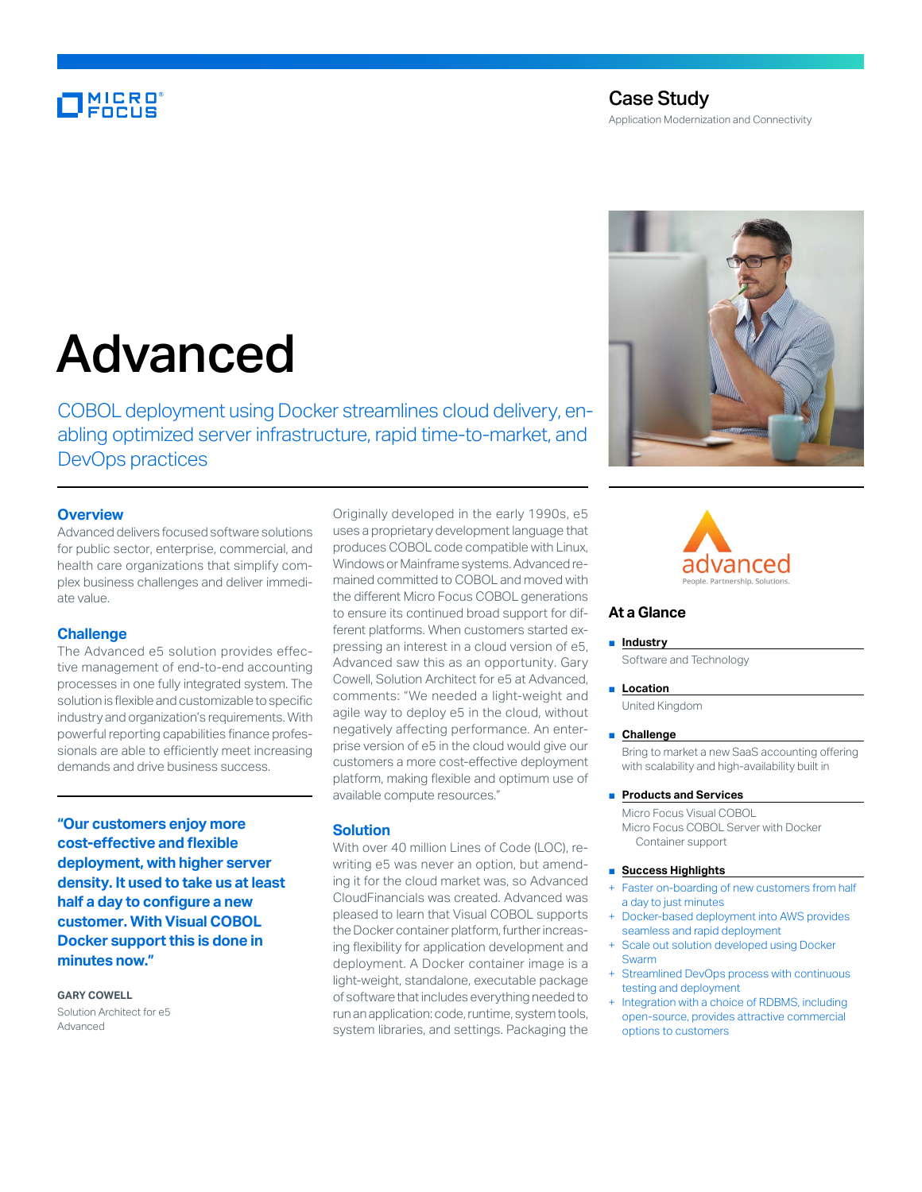# MICRO<sup>®</sup>

# Case Study Application Modernization and Connectivity

# Advanced

COBOL deployment using Docker streamlines cloud delivery, enabling optimized server infrastructure, rapid time-to-market, and DevOps practices

# **Overview**

Advanced delivers focused software solutions for public sector, enterprise, commercial, and health care organizations that simplify complex business challenges and deliver immediate value.

# **Challenge**

The Advanced e5 solution provides effective management of end-to-end accounting processes in one fully integrated system. The solution is flexible and customizable to specific industry and organization's requirements. With powerful reporting capabilities finance professionals are able to efficiently meet increasing demands and drive business success.

**"Our customers enjoy more cost-effective and flexible deployment, with higher server density. It used to take us at least half a day to configure a new customer. With Visual COBOL Docker support this is done in minutes now."**

# **GARY COWELL**

Solution Architect for e5 Advanced

Originally developed in the early 1990s, e5 uses a proprietary development language that produces COBOL code compatible with Linux, Windows or Mainframe systems. Advanced remained committed to COBOL and moved with the different Micro Focus COBOL generations to ensure its continued broad support for different platforms. When customers started expressing an interest in a cloud version of e5, Advanced saw this as an opportunity. Gary Cowell, Solution Architect for e5 at Advanced, comments: "We needed a light-weight and agile way to deploy e5 in the cloud, without negatively affecting performance. An enterprise version of e5 in the cloud would give our customers a more cost-effective deployment platform, making flexible and optimum use of available compute resources."

# **Solution**

With over 40 million Lines of Code (LOC), rewriting e5 was never an option, but amending it for the cloud market was, so Advanced CloudFinancials was created. Advanced was pleased to learn that Visual COBOL supports the Docker container platform, further increasing flexibility for application development and deployment. A Docker container image is a light-weight, standalone, executable package of software that includes everything needed to run an application: code, runtime, system tools, system libraries, and settings. Packaging the





# **At a Glance**

#### ■ **Industry**

Software and Technology

### ■ **Location**

United Kingdom

#### ■ **Challenge**

Bring to market a new SaaS accounting offering with scalability and high-availability built in

# ■ **Products and Services**

Micro Focus Visual COBOL Micro Focus COBOL Server with Docker Container support

# ■ **Success Highlights**

- Faster on-boarding of new customers from half a day to just minutes
- Docker-based deployment into AWS provides seamless and rapid deployment
- Scale out solution developed using Docker Swarm
- Streamlined DevOps process with continuous testing and deployment
- Integration with a choice of RDBMS, including open-source, provides attractive commercial options to customers